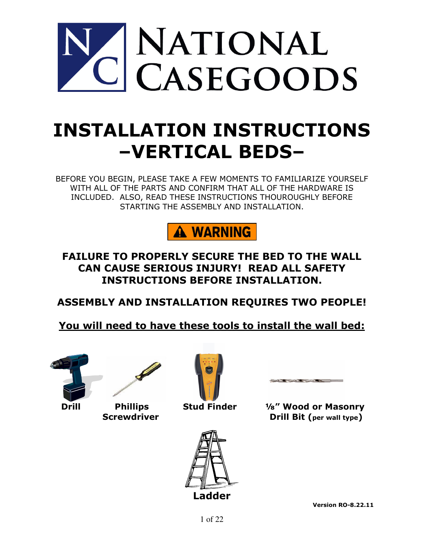

# INSTALLATION INSTRUCTIONS –VERTICAL BEDS–

BEFORE YOU BEGIN, PLEASE TAKE A FEW MOMENTS TO FAMILIARIZE YOURSELF WITH ALL OF THE PARTS AND CONFIRM THAT ALL OF THE HARDWARE IS INCLUDED. ALSO, READ THESE INSTRUCTIONS THOUROUGHLY BEFORE STARTING THE ASSEMBLY AND INSTALLATION.



FAILURE TO PROPERLY SECURE THE BED TO THE WALL CAN CAUSE SERIOUS INJURY! READ ALL SAFETY INSTRUCTIONS BEFORE INSTALLATION.

ASSEMBLY AND INSTALLATION REQUIRES TWO PEOPLE!

You will need to have these tools to install the wall bed:









 Drill Phillips Stud Finder ⅛" Wood or Masonry Screwdriver **Drill Bit (per wall type)**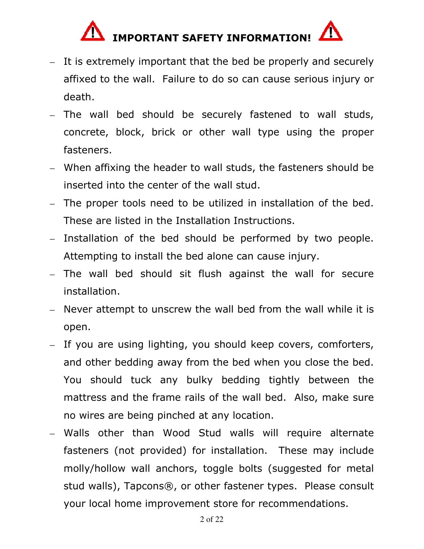# IMPORTANT SAFETY INFORMATION!

- It is extremely important that the bed be properly and securely affixed to the wall. Failure to do so can cause serious injury or death.
- The wall bed should be securely fastened to wall studs, concrete, block, brick or other wall type using the proper fasteners.
- When affixing the header to wall studs, the fasteners should be inserted into the center of the wall stud.
- The proper tools need to be utilized in installation of the bed. These are listed in the Installation Instructions.
- Installation of the bed should be performed by two people. Attempting to install the bed alone can cause injury.
- The wall bed should sit flush against the wall for secure installation.
- Never attempt to unscrew the wall bed from the wall while it is open.
- If you are using lighting, you should keep covers, comforters, and other bedding away from the bed when you close the bed. You should tuck any bulky bedding tightly between the mattress and the frame rails of the wall bed. Also, make sure no wires are being pinched at any location.
- Walls other than Wood Stud walls will require alternate fasteners (not provided) for installation. These may include molly/hollow wall anchors, toggle bolts (suggested for metal stud walls), Tapcons®, or other fastener types. Please consult your local home improvement store for recommendations.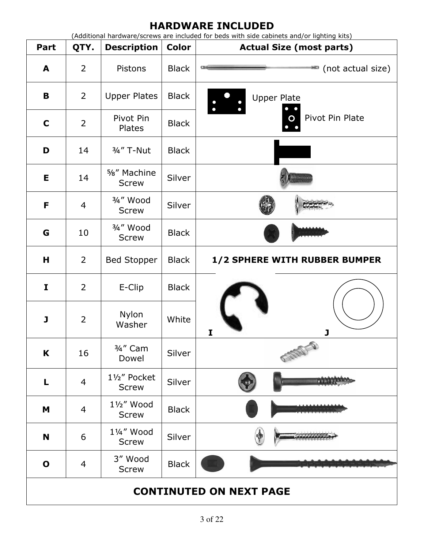### HARDWARE INCLUDED

(Additional hardware/screws are included for beds with side cabinets and/or lighting kits)

| Part                           | QTY.           | <b>Description</b>                     | <b>Color</b> | <b>Actual Size (most parts)</b> |  |  |
|--------------------------------|----------------|----------------------------------------|--------------|---------------------------------|--|--|
| A                              | $\overline{2}$ | Pistons                                | <b>Black</b> | (not actual size)               |  |  |
| B                              | $\overline{2}$ | <b>Upper Plates</b>                    | <b>Black</b> | <b>Upper Plate</b>              |  |  |
| $\mathbf C$                    | $\overline{2}$ | Pivot Pin<br>Plates                    | <b>Black</b> | Pivot Pin Plate                 |  |  |
| D                              | 14             | 3/4" T-Nut                             | <b>Black</b> |                                 |  |  |
| Е                              | 14             | 5%" Machine<br><b>Screw</b>            | Silver       |                                 |  |  |
| F                              | 4              | 3/ <sub>4</sub> " Wood<br><b>Screw</b> | Silver       |                                 |  |  |
| G                              | 10             | 3/4" Wood<br><b>Screw</b>              | <b>Black</b> |                                 |  |  |
| Н                              | $\overline{2}$ | <b>Bed Stopper</b>                     | <b>Black</b> | 1/2 SPHERE WITH RUBBER BUMPER   |  |  |
| I                              | $\overline{2}$ | E-Clip                                 | <b>Black</b> |                                 |  |  |
| J                              | $\overline{2}$ | Nylon<br>Washer                        | White        | J<br>I                          |  |  |
| K                              | 16             | 3/4" Cam<br>Dowel                      | Silver       | They                            |  |  |
| L                              | $\overline{4}$ | 11/2" Pocket<br><b>Screw</b>           | Silver       |                                 |  |  |
| M                              | $\overline{4}$ | 11/2" Wood<br><b>Screw</b>             | <b>Black</b> |                                 |  |  |
| N                              | 6              | 11/4" Wood<br><b>Screw</b>             | Silver       |                                 |  |  |
| $\mathbf 0$                    | 4              | 3" Wood<br><b>Screw</b>                | <b>Black</b> |                                 |  |  |
| <b>CONTINUTED ON NEXT PAGE</b> |                |                                        |              |                                 |  |  |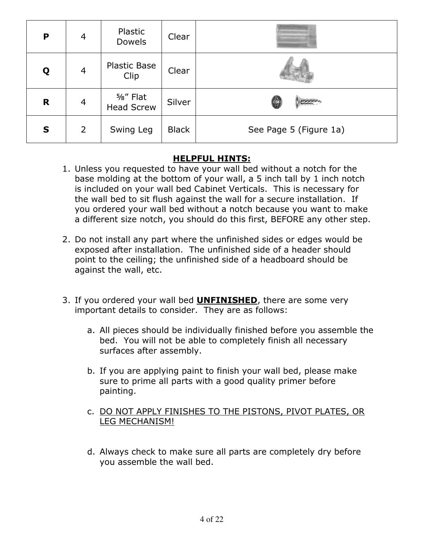| P | $\overline{4}$ | Plastic<br><b>Dowels</b>     | Clear        |                        |
|---|----------------|------------------------------|--------------|------------------------|
| Q | $\overline{4}$ | <b>Plastic Base</b><br>Clip  | Clear        |                        |
| R | 4              | %" Flat<br><b>Head Screw</b> | Silver       |                        |
| S | 2              | Swing Leg                    | <b>Black</b> | See Page 5 (Figure 1a) |

#### HELPFUL HINTS:

- 1. Unless you requested to have your wall bed without a notch for the base molding at the bottom of your wall, a 5 inch tall by 1 inch notch is included on your wall bed Cabinet Verticals. This is necessary for the wall bed to sit flush against the wall for a secure installation. If you ordered your wall bed without a notch because you want to make a different size notch, you should do this first, BEFORE any other step.
- 2. Do not install any part where the unfinished sides or edges would be exposed after installation. The unfinished side of a header should point to the ceiling; the unfinished side of a headboard should be against the wall, etc.
- 3. If you ordered your wall bed **UNFINISHED**, there are some very important details to consider. They are as follows:
	- a. All pieces should be individually finished before you assemble the bed. You will not be able to completely finish all necessary surfaces after assembly.
	- b. If you are applying paint to finish your wall bed, please make sure to prime all parts with a good quality primer before painting.
	- c. DO NOT APPLY FINISHES TO THE PISTONS, PIVOT PLATES, OR LEG MECHANISM!
	- d. Always check to make sure all parts are completely dry before you assemble the wall bed.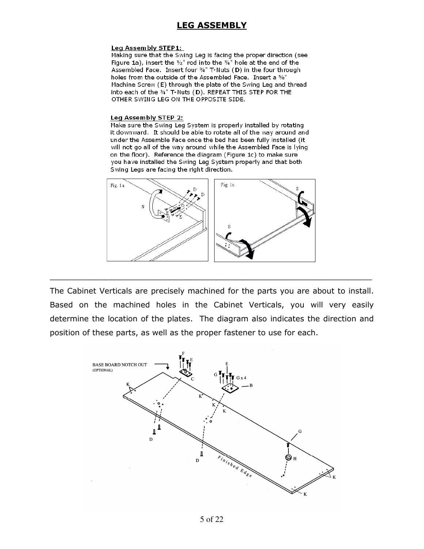#### LEG ASSEMBLY

#### Leg Assembly STEP1:

Making sure that the Swing Leg is facing the proper direction (see Figure 1a), insert the  $V_2$ " rod into the 34" hole at the end of the Assembled Face. Insert four 34" T-Nuts (D) in the four through holes from the outside of the Assembled Face. Insert a 5/8" Machine Screw (E) through the plate of the Swing Leg and thread into each of the 34" T-Nuts (D). REPEAT THIS STEP FOR THE OTHER SWING LEG ON THE OPPOSITE SIDE.

#### Leg Assembly STEP 2:

Make sure the Swing Leg System is properly installed by rotating it down ward. It should be able to rotate all of the way around and under the Assemble Face once the bed has been fully installed (it will not go all of the way around while the Assembled Face is lying on the floor). Reference the diagram (Figure 1c) to make sure you have installed the Swing Leg System properly and that both Swing Legs are facing the right direction.



The Cabinet Verticals are precisely machined for the parts you are about to install. Based on the machined holes in the Cabinet Verticals, you will very easily determine the location of the plates. The diagram also indicates the direction and position of these parts, as well as the proper fastener to use for each.

 $\overline{\phantom{a}}$  , and the contribution of the contribution of the contribution of the contribution of the contribution of  $\overline{\phantom{a}}$ 

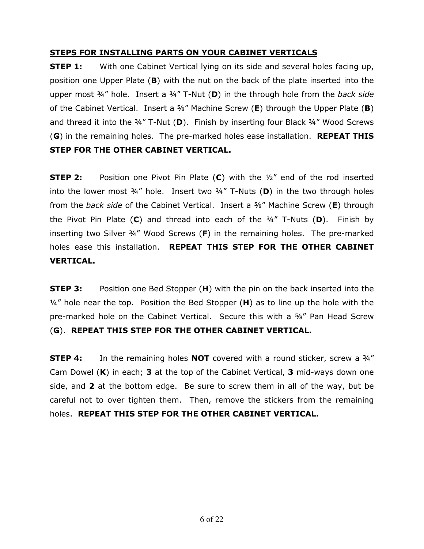#### STEPS FOR INSTALLING PARTS ON YOUR CABINET VERTICALS

**STEP 1:** With one Cabinet Vertical lying on its side and several holes facing up, position one Upper Plate (B) with the nut on the back of the plate inserted into the upper most  $\frac{3}{4}$ " hole. Insert a  $\frac{3}{4}$ " T-Nut (D) in the through hole from the back side of the Cabinet Vertical. Insert a  $\frac{56}{1}$  Machine Screw (E) through the Upper Plate (B) and thread it into the  $\frac{3}{4}$ " T-Nut (D). Finish by inserting four Black  $\frac{3}{4}$ " Wood Screws (G) in the remaining holes. The pre-marked holes ease installation. REPEAT THIS STEP FOR THE OTHER CABINET VERTICAL.

**STEP 2:** Position one Pivot Pin Plate  $(C)$  with the  $\frac{1}{2}$  end of the rod inserted into the lower most  $\frac{3}{4}$ " hole. Insert two  $\frac{3}{4}$ " T-Nuts (D) in the two through holes from the back side of the Cabinet Vertical. Insert a  $\frac{56}{3}$  Machine Screw (E) through the Pivot Pin Plate  $(C)$  and thread into each of the  $\frac{3}{4}$ " T-Nuts  $(D)$ . Finish by inserting two Silver ¾" Wood Screws (F) in the remaining holes. The pre-marked holes ease this installation. REPEAT THIS STEP FOR THE OTHER CABINET VERTICAL.

**STEP 3:** Position one Bed Stopper (H) with the pin on the back inserted into the  $\frac{1}{4}$ " hole near the top. Position the Bed Stopper (H) as to line up the hole with the pre-marked hole on the Cabinet Vertical. Secure this with a ⅝" Pan Head Screw (G). REPEAT THIS STEP FOR THE OTHER CABINET VERTICAL.

**STEP 4:** In the remaining holes **NOT** covered with a round sticker, screw a 34" Cam Dowel  $(K)$  in each; **3** at the top of the Cabinet Vertical, **3** mid-ways down one side, and 2 at the bottom edge. Be sure to screw them in all of the way, but be careful not to over tighten them. Then, remove the stickers from the remaining holes. REPEAT THIS STEP FOR THE OTHER CABINET VERTICAL.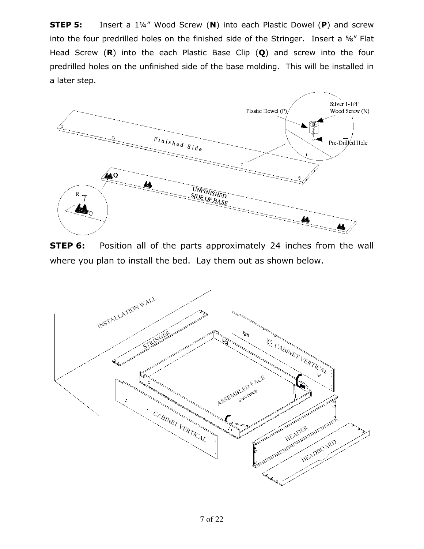**STEP 5:** Insert a 1¼" Wood Screw (N) into each Plastic Dowel (P) and screw into the four predrilled holes on the finished side of the Stringer. Insert a ⅝" Flat Head Screw  $(R)$  into the each Plastic Base Clip  $(Q)$  and screw into the four predrilled holes on the unfinished side of the base molding. This will be installed in a later step.



**STEP 6:** Position all of the parts approximately 24 inches from the wall where you plan to install the bed. Lay them out as shown below.

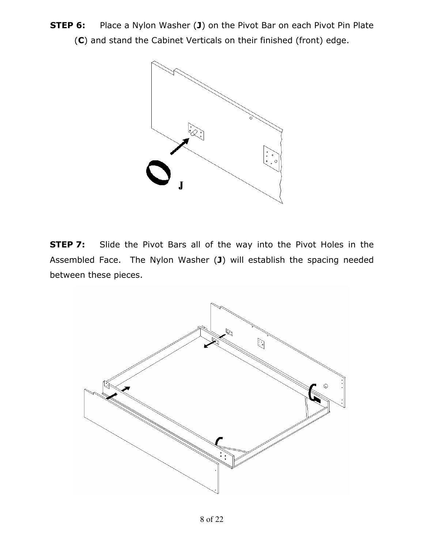**STEP 6:** Place a Nylon Washer (J) on the Pivot Bar on each Pivot Pin Plate (C) and stand the Cabinet Verticals on their finished (front) edge.



**STEP 7:** Slide the Pivot Bars all of the way into the Pivot Holes in the Assembled Face. The Nylon Washer (J) will establish the spacing needed between these pieces.

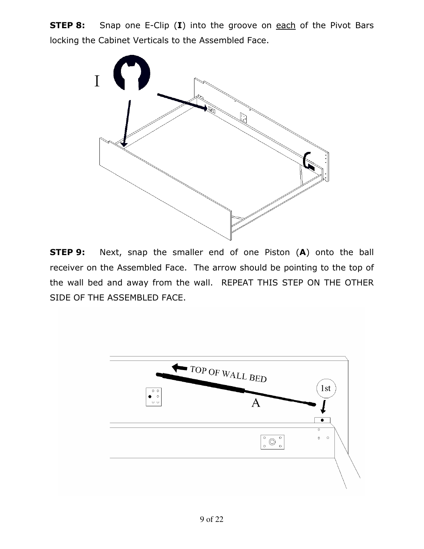**STEP 8:** Snap one E-Clip (I) into the groove on each of the Pivot Bars locking the Cabinet Verticals to the Assembled Face.



**STEP 9:** Next, snap the smaller end of one Piston (A) onto the ball receiver on the Assembled Face. The arrow should be pointing to the top of the wall bed and away from the wall. REPEAT THIS STEP ON THE OTHER SIDE OF THE ASSEMBLED FACE.

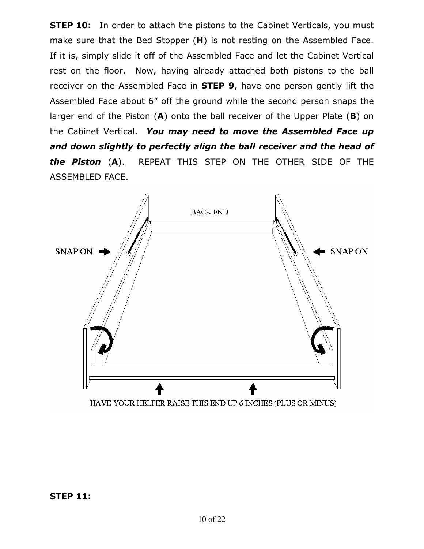**STEP 10:** In order to attach the pistons to the Cabinet Verticals, you must make sure that the Bed Stopper (H) is not resting on the Assembled Face. If it is, simply slide it off of the Assembled Face and let the Cabinet Vertical rest on the floor. Now, having already attached both pistons to the ball receiver on the Assembled Face in **STEP 9**, have one person gently lift the Assembled Face about 6" off the ground while the second person snaps the larger end of the Piston  $(A)$  onto the ball receiver of the Upper Plate  $(B)$  on the Cabinet Vertical. You may need to move the Assembled Face up and down slightly to perfectly align the ball receiver and the head of the Piston (A). REPEAT THIS STEP ON THE OTHER SIDE OF THE ASSEMBLED FACE.

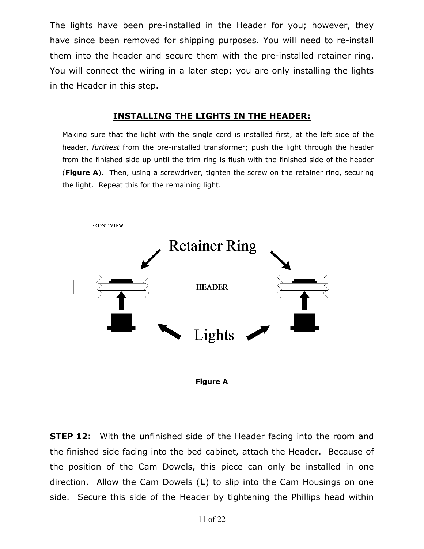The lights have been pre-installed in the Header for you; however, they have since been removed for shipping purposes. You will need to re-install them into the header and secure them with the pre-installed retainer ring. You will connect the wiring in a later step; you are only installing the lights in the Header in this step.

#### INSTALLING THE LIGHTS IN THE HEADER:

Making sure that the light with the single cord is installed first, at the left side of the header, furthest from the pre-installed transformer; push the light through the header from the finished side up until the trim ring is flush with the finished side of the header (Figure A). Then, using a screwdriver, tighten the screw on the retainer ring, securing the light. Repeat this for the remaining light.





**STEP 12:** With the unfinished side of the Header facing into the room and the finished side facing into the bed cabinet, attach the Header. Because of the position of the Cam Dowels, this piece can only be installed in one direction. Allow the Cam Dowels (L) to slip into the Cam Housings on one side. Secure this side of the Header by tightening the Phillips head within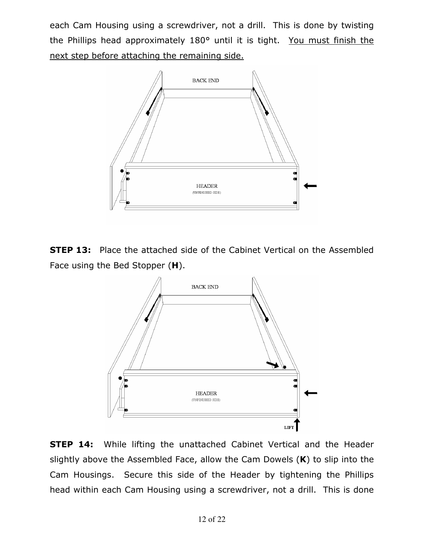each Cam Housing using a screwdriver, not a drill. This is done by twisting the Phillips head approximately 180° until it is tight. You must finish the next step before attaching the remaining side.



**STEP 13:** Place the attached side of the Cabinet Vertical on the Assembled Face using the Bed Stopper (H).



**STEP 14:** While lifting the unattached Cabinet Vertical and the Header slightly above the Assembled Face, allow the Cam Dowels  $(K)$  to slip into the Cam Housings. Secure this side of the Header by tightening the Phillips head within each Cam Housing using a screwdriver, not a drill. This is done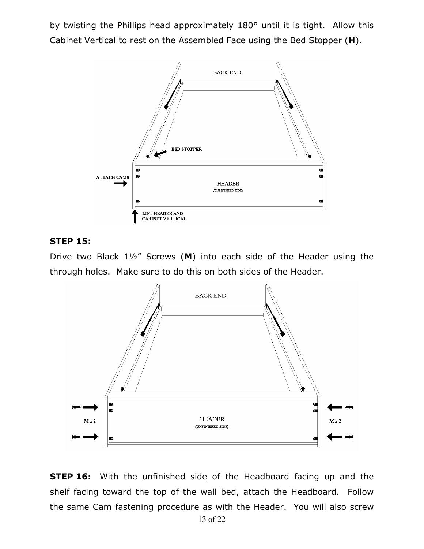by twisting the Phillips head approximately 180° until it is tight. Allow this Cabinet Vertical to rest on the Assembled Face using the Bed Stopper (H).



#### STEP 15:

Drive two Black 1½" Screws (M) into each side of the Header using the through holes. Make sure to do this on both sides of the Header.



**STEP 16:** With the *unfinished side* of the Headboard facing up and the shelf facing toward the top of the wall bed, attach the Headboard. Follow the same Cam fastening procedure as with the Header. You will also screw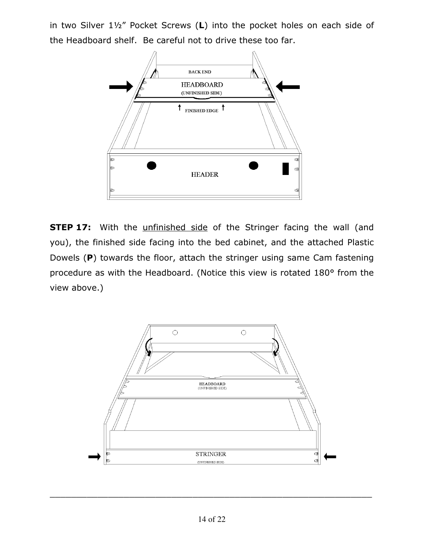in two Silver 1½" Pocket Screws (L) into the pocket holes on each side of the Headboard shelf. Be careful not to drive these too far.



**STEP 17:** With the *unfinished side* of the Stringer facing the wall (and you), the finished side facing into the bed cabinet, and the attached Plastic Dowels (P) towards the floor, attach the stringer using same Cam fastening procedure as with the Headboard. (Notice this view is rotated 180° from the view above.)



\_\_\_\_\_\_\_\_\_\_\_\_\_\_\_\_\_\_\_\_\_\_\_\_\_\_\_\_\_\_\_\_\_\_\_\_\_\_\_\_\_\_\_\_\_\_\_\_\_\_\_\_\_\_\_\_\_\_\_\_\_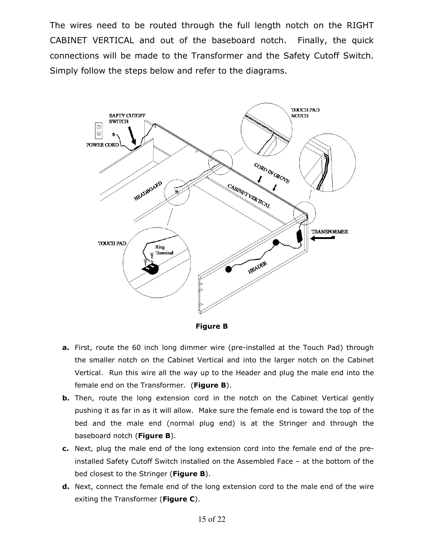The wires need to be routed through the full length notch on the RIGHT CABINET VERTICAL and out of the baseboard notch. Finally, the quick connections will be made to the Transformer and the Safety Cutoff Switch. Simply follow the steps below and refer to the diagrams.



Figure B

- a. First, route the 60 inch long dimmer wire (pre-installed at the Touch Pad) through the smaller notch on the Cabinet Vertical and into the larger notch on the Cabinet Vertical. Run this wire all the way up to the Header and plug the male end into the female end on the Transformer. (Figure B).
- **b.** Then, route the long extension cord in the notch on the Cabinet Vertical gently pushing it as far in as it will allow. Make sure the female end is toward the top of the bed and the male end (normal plug end) is at the Stringer and through the baseboard notch (Figure B).
- c. Next, plug the male end of the long extension cord into the female end of the preinstalled Safety Cutoff Switch installed on the Assembled Face – at the bottom of the bed closest to the Stringer (Figure B).
- **d.** Next, connect the female end of the long extension cord to the male end of the wire exiting the Transformer (Figure C).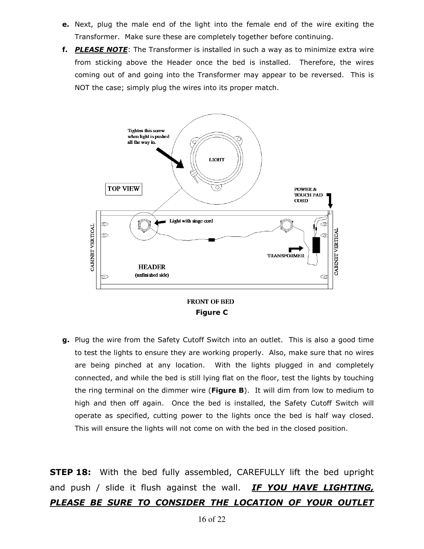- e. Next, plug the male end of the light into the female end of the wire exiting the Transformer. Make sure these are completely together before continuing.
- f. PLEASE NOTE: The Transformer is installed in such a way as to minimize extra wire from sticking above the Header once the bed is installed. Therefore, the wires coming out of and going into the Transformer may appear to be reversed. This is NOT the case; simply plug the wires into its proper match.



**FRONT OF BED** Figure C

g. Plug the wire from the Safety Cutoff Switch into an outlet. This is also a good time to test the lights to ensure they are working properly. Also, make sure that no wires are being pinched at any location. With the lights plugged in and completely connected, and while the bed is still lying flat on the floor, test the lights by touching the ring terminal on the dimmer wire (Figure  $B$ ). It will dim from low to medium to high and then off again. Once the bed is installed, the Safety Cutoff Switch will operate as specified, cutting power to the lights once the bed is half way closed. This will ensure the lights will not come on with the bed in the closed position.

**STEP 18:** With the bed fully assembled, CAREFULLY lift the bed upright and push / slide it flush against the wall. **IF YOU HAVE LIGHTING**, PLEASE BE SURE TO CONSIDER THE LOCATION OF YOUR OUTLET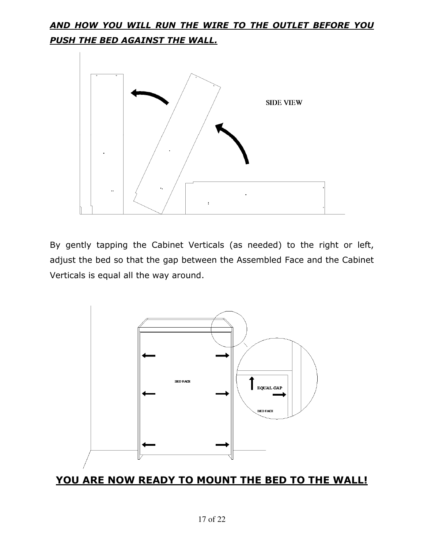## AND HOW YOU WILL RUN THE WIRE TO THE OUTLET BEFORE YOU PUSH THE BED AGAINST THE WALL.



By gently tapping the Cabinet Verticals (as needed) to the right or left, adjust the bed so that the gap between the Assembled Face and the Cabinet Verticals is equal all the way around.



#### YOU ARE NOW READY TO MOUNT THE BED TO THE WALL!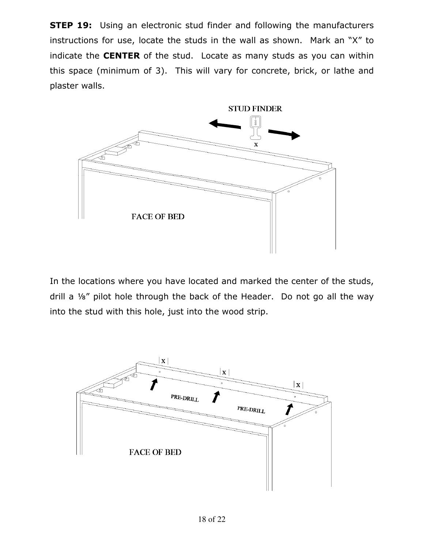**STEP 19:** Using an electronic stud finder and following the manufacturers instructions for use, locate the studs in the wall as shown. Mark an "X" to indicate the **CENTER** of the stud. Locate as many studs as you can within this space (minimum of 3). This will vary for concrete, brick, or lathe and plaster walls.



In the locations where you have located and marked the center of the studs, drill a ⅛" pilot hole through the back of the Header. Do not go all the way into the stud with this hole, just into the wood strip.

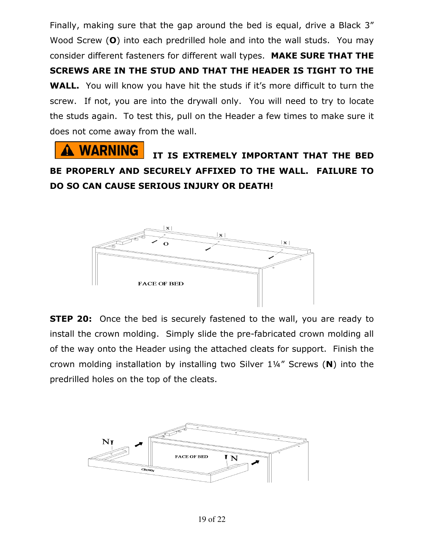Finally, making sure that the gap around the bed is equal, drive a Black 3" Wood Screw (O) into each predrilled hole and into the wall studs. You may consider different fasteners for different wall types. MAKE SURE THAT THE SCREWS ARE IN THE STUD AND THAT THE HEADER IS TIGHT TO THE WALL. You will know you have hit the studs if it's more difficult to turn the screw. If not, you are into the drywall only. You will need to try to locate the studs again. To test this, pull on the Header a few times to make sure it does not come away from the wall.

**WARNING** IT IS EXTREMELY IMPORTANT THAT THE BED BE PROPERLY AND SECURELY AFFIXED TO THE WALL. FAILURE TO DO SO CAN CAUSE SERIOUS INJURY OR DEATH!



**STEP 20:** Once the bed is securely fastened to the wall, you are ready to install the crown molding. Simply slide the pre-fabricated crown molding all of the way onto the Header using the attached cleats for support. Finish the crown molding installation by installing two Silver 1¼" Screws (N) into the predrilled holes on the top of the cleats.

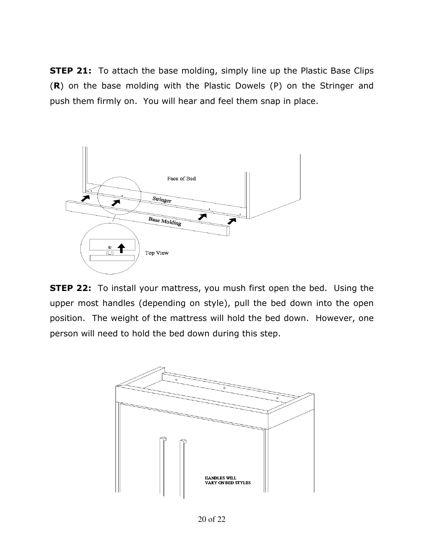**STEP 21:** To attach the base molding, simply line up the Plastic Base Clips (R) on the base molding with the Plastic Dowels (P) on the Stringer and push them firmly on. You will hear and feel them snap in place.



**STEP 22:** To install your mattress, you mush first open the bed. Using the upper most handles (depending on style), pull the bed down into the open position. The weight of the mattress will hold the bed down. However, one person will need to hold the bed down during this step.

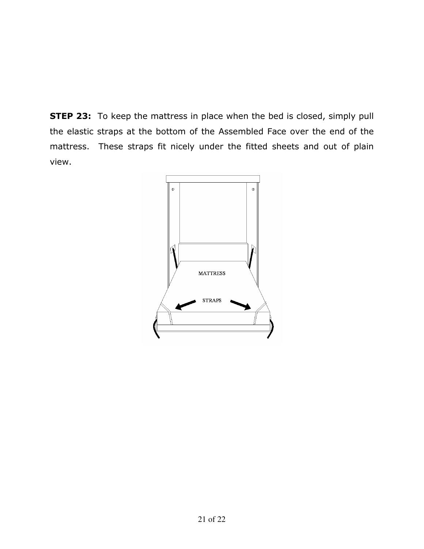**STEP 23:** To keep the mattress in place when the bed is closed, simply pull the elastic straps at the bottom of the Assembled Face over the end of the mattress. These straps fit nicely under the fitted sheets and out of plain view.